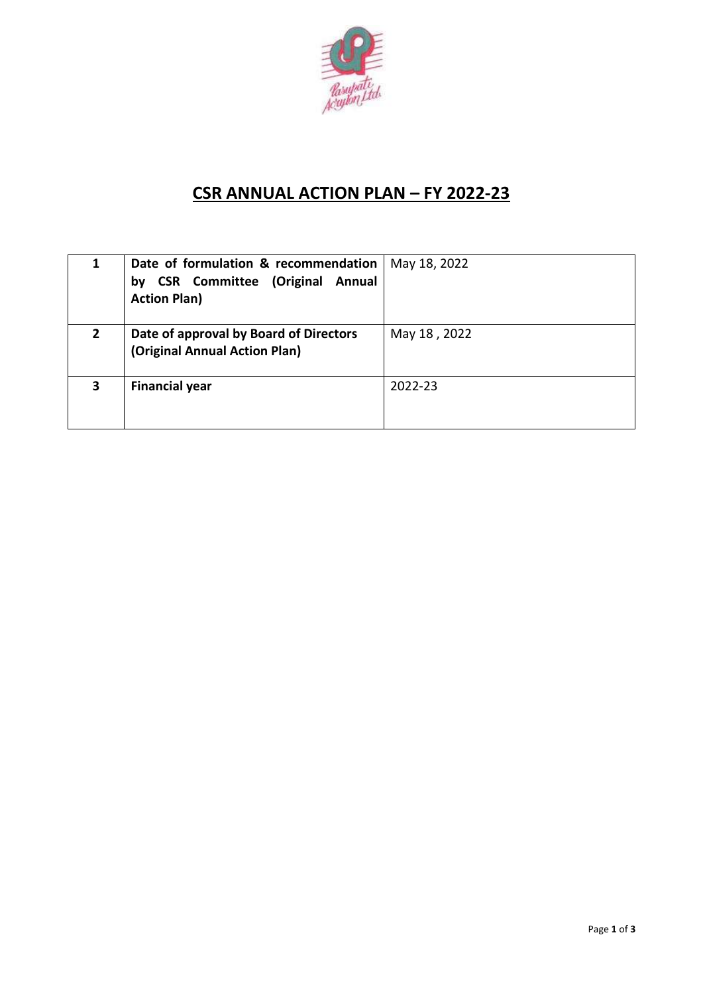

## **CSR ANNUAL ACTION PLAN – FY 2022-23**

|             | Date of formulation & recommendation<br><b>CSR Committee (Original Annual</b><br>bν<br><b>Action Plan)</b> | May 18, 2022 |
|-------------|------------------------------------------------------------------------------------------------------------|--------------|
| $2^{\circ}$ | Date of approval by Board of Directors<br>(Original Annual Action Plan)                                    | May 18, 2022 |
| 3           | <b>Financial year</b>                                                                                      | 2022-23      |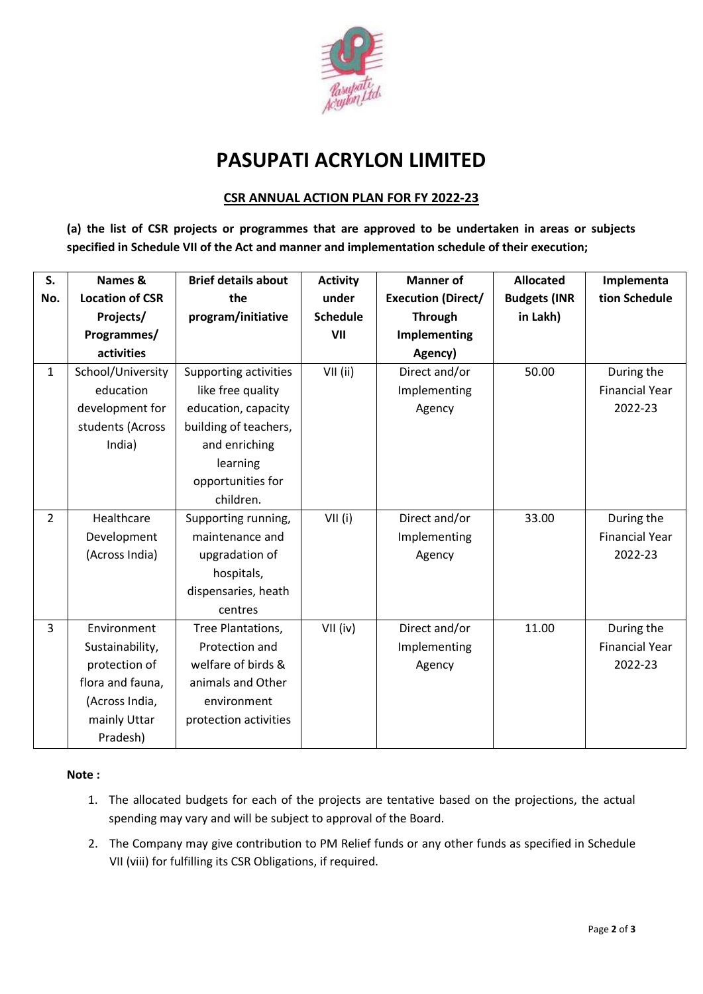

# **PASUPATI ACRYLON LIMITED**

## **CSR ANNUAL ACTION PLAN FOR FY 2022-23**

**(a) the list of CSR projects or programmes that are approved to be undertaken in areas or subjects specified in Schedule VII of the Act and manner and implementation schedule of their execution;**

| S.             | Names &                | <b>Brief details about</b> | <b>Activity</b> | <b>Manner of</b>          | <b>Allocated</b>    | Implementa            |
|----------------|------------------------|----------------------------|-----------------|---------------------------|---------------------|-----------------------|
| No.            | <b>Location of CSR</b> | the                        | under           | <b>Execution (Direct/</b> | <b>Budgets (INR</b> | tion Schedule         |
|                | Projects/              | program/initiative         | <b>Schedule</b> | <b>Through</b>            | in Lakh)            |                       |
|                | Programmes/            |                            | VII             | Implementing              |                     |                       |
|                | activities             |                            |                 | Agency)                   |                     |                       |
| $\mathbf 1$    | School/University      | Supporting activities      | $VII$ (ii)      | Direct and/or             | 50.00               | During the            |
|                | education              | like free quality          |                 | Implementing              |                     | <b>Financial Year</b> |
|                | development for        | education, capacity        |                 | Agency                    |                     | 2022-23               |
|                | students (Across       | building of teachers,      |                 |                           |                     |                       |
|                | India)                 | and enriching              |                 |                           |                     |                       |
|                |                        | learning                   |                 |                           |                     |                       |
|                |                        | opportunities for          |                 |                           |                     |                       |
|                |                        | children.                  |                 |                           |                     |                       |
| $\overline{2}$ | Healthcare             | Supporting running,        | VII(i)          | Direct and/or             | 33.00               | During the            |
|                | Development            | maintenance and            |                 | Implementing              |                     | <b>Financial Year</b> |
|                | (Across India)         | upgradation of             |                 | Agency                    |                     | 2022-23               |
|                |                        | hospitals,                 |                 |                           |                     |                       |
|                |                        | dispensaries, heath        |                 |                           |                     |                       |
|                |                        | centres                    |                 |                           |                     |                       |
| 3              | Environment            | Tree Plantations,          | $VII$ (iv)      | Direct and/or             | 11.00               | During the            |
|                | Sustainability,        | Protection and             |                 | Implementing              |                     | <b>Financial Year</b> |
|                | protection of          | welfare of birds &         |                 | Agency                    |                     | 2022-23               |
|                | flora and fauna,       | animals and Other          |                 |                           |                     |                       |
|                | (Across India,         | environment                |                 |                           |                     |                       |
|                | mainly Uttar           | protection activities      |                 |                           |                     |                       |
|                | Pradesh)               |                            |                 |                           |                     |                       |

#### **Note :**

- 1. The allocated budgets for each of the projects are tentative based on the projections, the actual spending may vary and will be subject to approval of the Board.
- 2. The Company may give contribution to PM Relief funds or any other funds as specified in Schedule VII (viii) for fulfilling its CSR Obligations, if required.